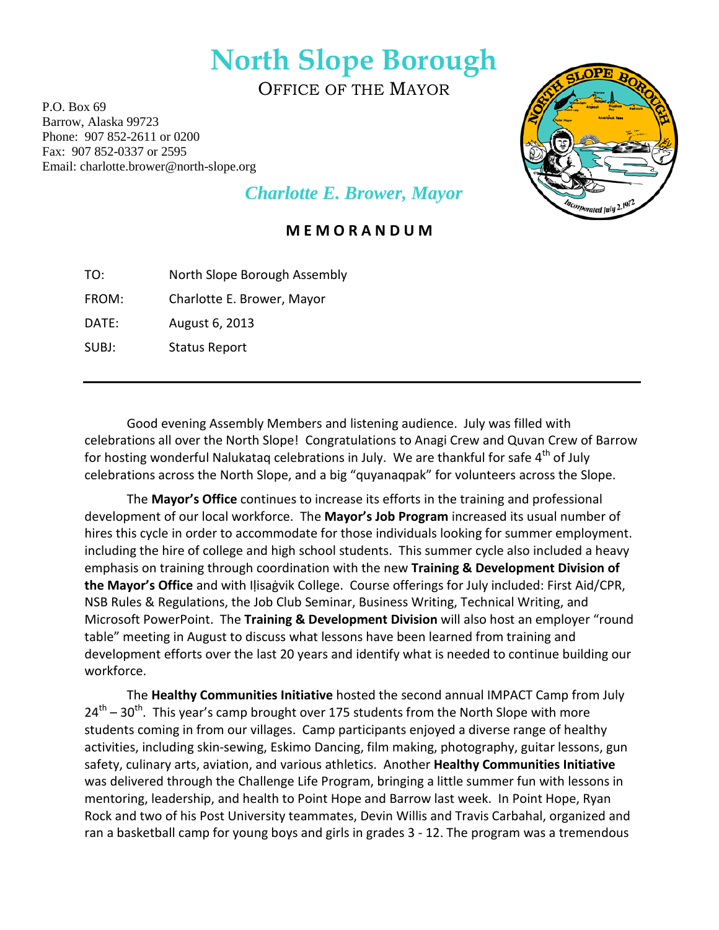## **North Slope Borough**

OFFICE OF THE MAYOR

P.O. Box 69 Barrow, Alaska 99723 Phone: 907 852-2611 or 0200 Fax: 907 852-0337 or 2595 Email: charlotte.brower@north-slope.org



## *Charlotte E. Brower, Mayor*

## **M E M O R A N D U M**

| TO: | North Slope Borough Assembly |
|-----|------------------------------|
|     |                              |

FROM: Charlotte E. Brower, Mayor

DATE: August 6, 2013

SUBJ: Status Report

Good evening Assembly Members and listening audience. July was filled with celebrations all over the North Slope! Congratulations to Anagi Crew and Quvan Crew of Barrow for hosting wonderful Nalukatag celebrations in July. We are thankful for safe  $4<sup>th</sup>$  of July celebrations across the North Slope, and a big "quyanaqpak" for volunteers across the Slope.

The **Mayor's Office** continues to increase its efforts in the training and professional development of our local workforce. The **Mayor's Job Program** increased its usual number of hires this cycle in order to accommodate for those individuals looking for summer employment. including the hire of college and high school students. This summer cycle also included a heavy emphasis on training through coordination with the new **Training & Development Division of the Mayor's Office** and with Iḷisaġvik College. Course offerings for July included: First Aid/CPR, NSB Rules & Regulations, the Job Club Seminar, Business Writing, Technical Writing, and Microsoft PowerPoint. The **Training & Development Division** will also host an employer "round table" meeting in August to discuss what lessons have been learned from training and development efforts over the last 20 years and identify what is needed to continue building our workforce.

The **Healthy Communities Initiative** hosted the second annual IMPACT Camp from July  $24<sup>th</sup> - 30<sup>th</sup>$ . This year's camp brought over 175 students from the North Slope with more students coming in from our villages. Camp participants enjoyed a diverse range of healthy activities, including skin-sewing, Eskimo Dancing, film making, photography, guitar lessons, gun safety, culinary arts, aviation, and various athletics. Another **Healthy Communities Initiative**  was delivered through the Challenge Life Program, bringing a little summer fun with lessons in mentoring, leadership, and health to Point Hope and Barrow last week. In Point Hope, Ryan Rock and two of his Post University teammates, Devin Willis and Travis Carbahal, organized and ran a basketball camp for young boys and girls in grades 3 - 12. The program was a tremendous